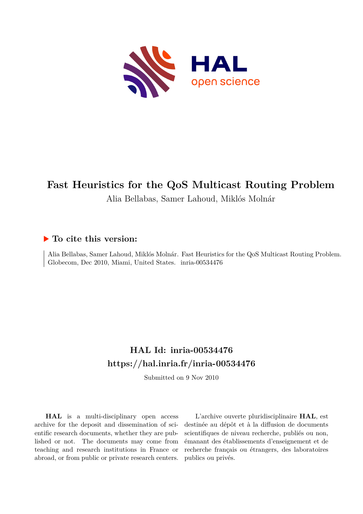

## **Fast Heuristics for the QoS Multicast Routing Problem**

Alia Bellabas, Samer Lahoud, Miklós Molnár

### **To cite this version:**

Alia Bellabas, Samer Lahoud, Miklós Molnár. Fast Heuristics for the QoS Multicast Routing Problem. Globecom, Dec 2010, Miami, United States. inria-00534476

## **HAL Id: inria-00534476 <https://hal.inria.fr/inria-00534476>**

Submitted on 9 Nov 2010

**HAL** is a multi-disciplinary open access archive for the deposit and dissemination of scientific research documents, whether they are published or not. The documents may come from teaching and research institutions in France or abroad, or from public or private research centers.

L'archive ouverte pluridisciplinaire **HAL**, est destinée au dépôt et à la diffusion de documents scientifiques de niveau recherche, publiés ou non, émanant des établissements d'enseignement et de recherche français ou étrangers, des laboratoires publics ou privés.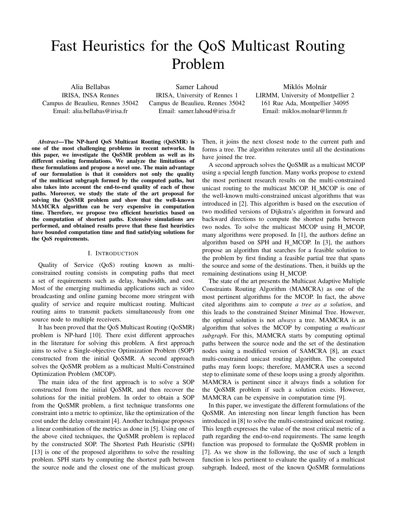# Fast Heuristics for the QoS Multicast Routing Problem

Alia Bellabas IRISA, INSA Rennes Campus de Beaulieu, Rennes 35042 Email: alia.bellabas@irisa.fr

Samer Lahoud IRISA, University of Rennes 1 Campus de Beaulieu, Rennes 35042 Email: samer.lahoud@irisa.fr

Miklós Molnár LIRMM, University of Montpellier 2 161 Rue Ada, Montpellier 34095 Email: miklos.molnar@lirmm.fr

*Abstract***—The NP-hard QoS Multicast Routing (QoSMR) is one of the most challenging problems in recent networks. In this paper, we investigate the QoSMR problem as well as its different existing formulations. We analyze the limitations of these formulations and propose a novel one. The main advantage of our formulation is that it considers not only the quality of the multicast subgraph formed by the computed paths, but also takes into account the end-to-end quality of each of these paths. Moreover, we study the state of the art proposal for solving the QoSMR problem and show that the well-known MAMCRA algorithm can be very expensive in computation time. Therefore, we propose two efficient heuristics based on the computation of shortest paths. Extensive simulations are performed, and obtained results prove that these fast heuristics have bounded computation time and find satisfying solutions for the QoS requirements.**

#### I. INTRODUCTION

Quality of Service (QoS) routing known as multiconstrained routing consists in computing paths that meet a set of requirements such as delay, bandwidth, and cost. Most of the emerging multimedia applications such as video broadcasting and online gaming become more stringent with quality of service and require multicast routing. Multicast routing aims to transmit packets simultaneously from one source node to multiple receivers.

It has been proved that the QoS Multicast Routing (QoSMR) problem is NP-hard [10]. There exist different approaches in the literature for solving this problem. A first approach aims to solve a Single-objective Optimization Problem (SOP) constructed from the initial QoSMR. A second approach solves the QoSMR problem as a multicast Multi-Constrained Optimization Problem (MCOP).

The main idea of the first approach is to solve a SOP constructed from the initial QoSMR, and then recover the solutions for the initial problem. In order to obtain a SOP from the QoSMR problem, a first technique transforms one constraint into a metric to optimize, like the optimization of the cost under the delay constraint [4]. Another technique proposes a linear combination of the metrics as done in [5]. Using one of the above cited techniques, the QoSMR problem is replaced by the constructed SOP. The Shortest Path Heuristic (SPH) [13] is one of the proposed algorithms to solve the resulting problem. SPH starts by computing the shortest path between the source node and the closest one of the multicast group. Then, it joins the next closest node to the current path and forms a tree. The algorithm reiterates until all the destinations have joined the tree.

A second approach solves the QoSMR as a multicast MCOP using a special length function. Many works propose to extend the most pertinent research results on the multi-constrained unicast routing to the multicast MCOP. H MCOP is one of the well-known multi-constrained unicast algorithms that was introduced in [2]. This algorithm is based on the execution of two modified versions of Dijkstra's algorithm in forward and backward directions to compute the shortest paths between two nodes. To solve the multicast MCOP using H MCOP, many algorithms were proposed. In [1], the authors define an algorithm based on SPH and H\_MCOP. In [3], the authors propose an algorithm that searches for a feasible solution to the problem by first finding a feasible partial tree that spans the source and some of the destinations. Then, it builds up the remaining destinations using H MCOP.

The state of the art presents the Multicast Adaptive Multiple Constraints Routing Algorithm (MAMCRA) as one of the most pertinent algorithms for the MCOP. In fact, the above cited algorithms aim to compute *a tree as a solution*, and this leads to the constrained Steiner Minimal Tree. However, the optimal solution is not *always* a tree. MAMCRA is an algorithm that solves the MCOP by computing *a multicast subgraph*. For this, MAMCRA starts by computing optimal paths between the source node and the set of the destination nodes using a modified version of SAMCRA [8], an exact multi-constrained unicast routing algorithm. The computed paths may form loops; therefore, MAMCRA uses a second step to eliminate some of these loops using a greedy algorithm. MAMCRA is pertinent since it always finds a solution for the QoSMR problem if such a solution exists. However, MAMCRA can be expensive in computation time [9].

In this paper, we investigate the different formulations of the QoSMR. An interesting non linear length function has been introduced in [8] to solve the multi-constrained unicast routing. This length expresses the value of the most critical metric of a path regarding the end-to-end requirements. The same length function was proposed to formulate the QoSMR problem in [7]. As we show in the following, the use of such a length function is less pertinent to evaluate the quality of a multicast subgraph. Indeed, most of the known QoSMR formulations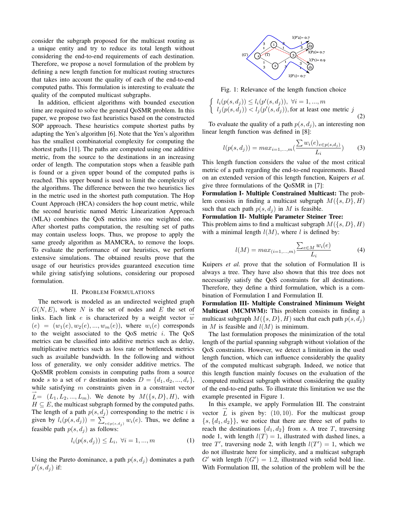consider the subgraph proposed for the multicast routing as a unique entity and try to reduce its total length without considering the end-to-end requirements of each destination. Therefore, we propose a novel formulation of the problem by defining a new length function for multicast routing structures that takes into account the quality of each of the end-to-end computed paths. This formulation is interesting to evaluate the quality of the computed multicast subgraphs.

In addition, efficient algorithms with bounded execution time are required to solve the general QoSMR problem. In this paper, we propose two fast heuristics based on the constructed SOP approach. These heuristics compute shortest paths by adapting the Yen's algorithm [6]. Note that the Yen's algorithm has the smallest combinatorial complexity for computing the shortest paths [11]. The paths are computed using one additive metric, from the source to the destinations in an increasing order of length. The computation stops when a feasible path is found or a given upper bound of the computed paths is reached. This upper bound is used to limit the complexity of the algorithms. The difference between the two heuristics lies in the metric used in the shortest path computation. The Hop Count Approach (HCA) considers the hop count metric, while the second heuristic named Metric Linearization Approach (MLA) combines the QoS metrics into one weighted one. After shortest paths computation, the resulting set of paths may contain useless loops. Thus, we propose to apply the same greedy algorithm as MAMCRA, to remove the loops. To evaluate the performance of our heuristics, we perform extensive simulations. The obtained results prove that the usage of our heuristics provides guaranteed execution time while giving satisfying solutions, considering our proposed formulation.

#### II. PROBLEM FORMULATIONS

The network is modeled as an undirected weighted graph  $G(N, E)$ , where N is the set of nodes and E the set of links. Each link e is characterized by a weight vector  $\vec{w}$  $(e) = (w_1(e), w_2(e), ..., w_m(e)),$  where  $w_i(e)$  corresponds to the weight associated to the QoS metric i. The QoS metrics can be classified into additive metrics such as delay, multiplicative metrics such as loss rate or bottleneck metrics such as available bandwidth. In the following and without loss of generality, we only consider additive metrics. The QoSMR problem consists in computing paths from a source node s to a set of r destination nodes  $D = \{d_1, d_2, ..., d_r\},\$ while satisfying  $m$  constraints given in a constraint vector  $\overrightarrow{L} = (L_1, L_2, ..., L_m)$ . We denote by  $M({s, D}, H)$ , with  $H \subset E$  the multicast subgraph formed by the computed paths  $H \subseteq E$ , the multicast subgraph formed by the computed paths. The length of a path  $p(s, d<sub>i</sub>)$  corresponding to the metric i is given by  $l_i(p(s, d_j)) = \sum_{e \in p(s, d_j)} w_i(e)$ . Thus, we define a feasible path  $p(s, d_j)$  as follows:

$$
l_i(p(s, d_j)) \le L_i, \ \forall i = 1, ..., m \tag{1}
$$

Using the Pareto dominance, a path  $p(s, d_j)$  dominates a path  $p'(s, d_j)$  if:



Fig. 1: Relevance of the length function choice

$$
\begin{cases}\n l_i(p(s, d_j)) \le l_i(p'(s, d_j)), \ \forall i = 1, ..., m \\
l_j(p(s, d_j)) < l_j(p'(s, d_j)), \text{for at least one metric } j\n\end{cases}
$$
\n(2)

To evaluate the quality of a path  $p(s, d<sub>i</sub>)$ , an interesting non linear length function was defined in [8]:

$$
l(p(s, d_j)) = max_{i=1,\dots,m} \left( \frac{\sum w_i(e)_{e \in p(s, d_j)}}{L_i} \right)
$$
 (3)

This length function considers the value of the most critical metric of a path regarding the end-to-end requirements. Based on an extended version of this length function, Kuipers *et al.* give three formulations of the QoSMR in [7]:

**Formulation I- Multiple Constrained Multicast:** The problem consists in finding a multicast subgraph  $M({s, D}, H)$ such that each path  $p(s, d_i)$  in M is feasible.

#### **Formulation II- Multiple Parameter Steiner Tree:**

This problem aims to find a multicast subgraph  $M({s, D}, H)$ with a minimal length  $l(M)$ , where l is defined by:

$$
l(M) = max_{(i=1,...,m)} \frac{\sum_{e \in M} w_i(e)}{L_i}
$$
 (4)

Kuipers *et al.* prove that the solution of Formulation II is always a tree. They have also shown that this tree does not necessarily satisfy the QoS constraints for all destinations. Therefore, they define a third formulation, which is a combination of Formulation I and Formulation II.

**Formulation III- Multiple Constrained Minimum Weight Multicast (MCMWM):** This problem consists in finding a multicast subgraph  $M({s, D}, H)$  such that each path  $p(s, d<sub>i</sub>)$ in M is feasible and  $l(M)$  is minimum.

The last formulation proposes the minimization of the total length of the partial spanning subgraph without violation of the QoS constraints. However, we detect a limitation in the used length function, which can influence considerably the quality of the computed multicast subgraph. Indeed, we notice that this length function mainly focuses on the evaluation of the computed multicast subgraph without considering the quality of the end-to-end paths. To illustrate this limitation we use the example presented in Figure 1.

In this example, we apply Formulation III. The constraint vector  $\vec{L}$  is given by: (10,10). For the multicast group  ${s, {d_1, d_2}}$ , we notice that there are three set of paths to reach the destinations  $\{d_1, d_2\}$  from s. A tree T, traversing node 1, with length  $l(T)=1$ , illustrated with dashed lines, a tree T', traversing node 2, with length  $l(T') = 1$ , which we<br>do not illustrate here for simplicity and a multicast subgraph do not illustrate here for simplicity, and a multicast subgraph  $G'$  with length  $l(G') = 1.2$ , illustrated with solid bold line.<br>With Formulation III the solution of the problem will be the With Formulation III, the solution of the problem will be the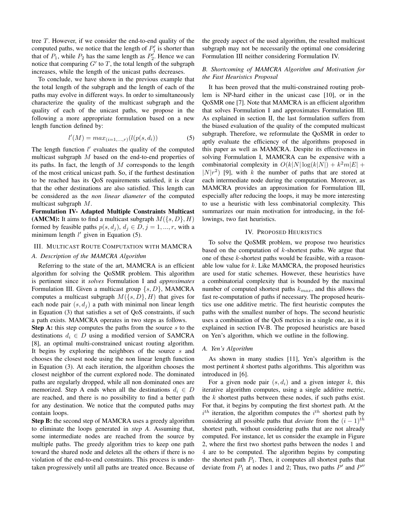tree T. However, if we consider the end-to-end quality of the computed paths, we notice that the length of  $P'_1$  is shorter than that of  $P_1$ , while  $P_2$  has the same length as  $P'_2$ . Hence we can notice that comparing  $G'$  to  $T$ , the total length of the subgraph increases, while the length of the unicast paths decreases.

To conclude, we have shown in the previous example that the total length of the subgraph and the length of each of the paths may evolve in different ways. In order to simultaneously characterize the quality of the multicast subgraph and the quality of each of the unicast paths, we propose in the following a more appropriate formulation based on a new length function defined by:

$$
l'(M) = max_{(i=1,...,r)} (l(p(s, d_i))
$$
 (5)

The length function  $l'$  evaluates the quality of the computed multicast subgraph M based on the end-to-end properties of its paths. In fact, the length of  $M$  corresponds to the length of the most critical unicast path. So, if the furthest destination to be reached has its QoS requirements satisfied, it is clear that the other destinations are also satisfied. This length can be considered as the *non linear diameter* of the computed multicast subgraph M.

**Formulation IV- Adapted Multiple Constraints Multicast (AMCM):** It aims to find a multicast subgraph  $M(\{s, D\}, H)$ formed by feasible paths  $p(s, d_j), d_j \in D, j = 1, ..., r$ , with a minimum length  $l'$  given in Equation (5).

#### III. MULTICAST ROUTE COMPUTATION WITH MAMCRA

#### *A. Description of the MAMCRA Algorithm*

Referring to the state of the art, MAMCRA is an efficient algorithm for solving the QoSMR problem. This algorithm is pertinent since it *solves* Formulation I and *approximates* Formulation III. Given a multicast group  $\{s, D\}$ , MAMCRA computes a multicast subgraph  $M({s, D}, H)$  that gives for each node pair  $(s, d_i)$  a path with minimal non linear length in Equation (3) that satisfies a set of QoS constraints, if such a path exists. MAMCRA operates in two steps as follows.

**Step A:** this step computes the paths from the source s to the destinations  $d_i \in D$  using a modified version of SAMCRA [8], an optimal multi-constrained unicast routing algorithm. It begins by exploring the neighbors of the source s and chooses the closest node using the non linear length function in Equation (3). At each iteration, the algorithm chooses the closest neighbor of the current explored node. The dominated paths are regularly dropped, while all non dominated ones are memorized. Step A ends when all the destinations  $d_i \in D$ are reached, and there is no possibility to find a better path for any destination. We notice that the computed paths may contain loops.

**Step B:** the second step of MAMCRA uses a greedy algorithm to eliminate the loops generated in *step A*. Assuming that, some intermediate nodes are reached from the source by multiple paths. The greedy algorithm tries to keep one path toward the shared node and deletes all the others if there is no violation of the end-to-end constraints. This process is undertaken progressively until all paths are treated once. Because of the greedy aspect of the used algorithm, the resulted multicast subgraph may not be necessarily the optimal one considering Formulation III neither considering Formulation IV.

#### *B. Shortcoming of MAMCRA Algorithm and Motivation for the Fast Heuristics Proposal*

It has been proved that the multi-constrained routing problem is NP-hard either in the unicast case [10], or in the QoSMR one [7]. Note that MAMCRA is an efficient algorithm that solves Formulation I and approximates Formulation III. As explained in section II, the last formulation suffers from the biased evaluation of the quality of the computed multicast subgraph. Therefore, we reformulate the QoSMR in order to aptly evaluate the efficiency of the algorithms proposed in this paper as well as MAMCRA. Despite its effectiveness in solving Formulation I, MAMCRA can be expensive with a combinatorial complexity in  $O(k|N|\log(k|N|) + k^2m|E| +$  $|N|r^2$  [9], with k the number of paths that are stored at each intermediate node during the computation. Moreover, as MAMCRA provides an approximation for Formulation III, especially after reducing the loops, it may be more interesting to use a heuristic with less combinatorial complexity. This summarizes our main motivation for introducing, in the followings, two fast heuristics.

#### IV. PROPOSED HEURISTICS

To solve the QoSMR problem, we propose two heuristics based on the computation of  $k$ -shortest paths. We argue that one of these k-shortest paths would be feasible, with a reasonable low value for  $k$ . Like MAMCRA, the proposed heuristics are used for static schemes. However, these heuristics have a combinatorial complexity that is bounded by the maximal number of computed shortest paths k*max*, and this allows the fast re-computation of paths if necessary. The proposed heuristics use one additive metric. The first heuristic computes the paths with the smallest number of hops. The second heuristic uses a combination of the QoS metrics in a single one, as it is explained in section IV-B. The proposed heuristics are based on Yen's algorithm, which we outline in the following.

#### *A. Yen's Algorithm*

As shown in many studies [11], Yen's algorithm is the most pertinent *k* shortest paths algorithms. This algorithm was introduced in [6].

For a given node pair  $(s, d_i)$  and a given integer k, this iterative algorithm computes, using a single additive metric, the  $k$  shortest paths between these nodes, if such paths exist. For that, it begins by computing the first shortest path. At the  $i^{th}$  iteration, the algorithm computes the  $i^{th}$  shortest path by considering all possible paths that *deviate* from the  $(i - 1)$ <sup>th</sup> shortest path, without considering paths that are not already computed. For instance, let us consider the example in Figure 2, where the first two shortest paths between the nodes 1 and 4 are to be computed. The algorithm begins by computing the shortest path  $P_1$ . Then, it computes all shortest paths that deviate from  $P_1$  at nodes 1 and 2; Thus, two paths  $P'$  and  $P''$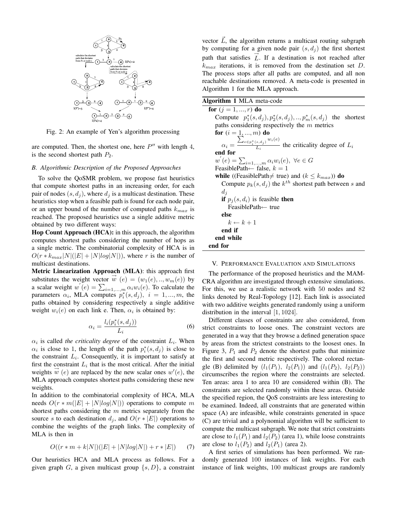

Fig. 2: An example of Yen's algorithm processing

are computed. Then, the shortest one, here  $P''$  with length 4, is the second shortest path  $P_2$ .

#### *B. Algorithmic Description of the Proposed Approaches*

To solve the QoSMR problem, we propose fast heuristics that compute shortest paths in an increasing order, for each pair of nodes  $(s, d<sub>i</sub>)$ , where  $d<sub>i</sub>$  is a multicast destination. These heuristics stop when a feasible path is found for each node pair, or an upper bound of the number of computed paths k*max* is reached. The proposed heuristics use a single additive metric obtained by two different ways:

**Hop Count Approach (HCA):** in this approach, the algorithm computes shortest paths considering the number of hops as a single metric. The combinatorial complexity of HCA is in  $O(r * k_{max}|N|(|E| + |N|log|N|)),$  where r is the number of multicast destinations.

**Metric Linearization Approach (MLA)**: this approach first substitutes the weight vector  $\vec{w}(e) = (w_1(e), ..., w_m(e))$  by<br>a scalar weight  $w'(e) = \sum_{v \in W_1(e)} \alpha_w w(v)$ . To calculate the a scalar weight  $w'(e) = \sum_{i=1,...,m} \alpha_i w_i(e)$ . To calculate the parameters  $\alpha_i$ , MLA computes  $p_i^*(s, d_j)$ ,  $i = 1, ..., m$ , the paths obtained by considering respectively a single additive weight  $w_i(e)$  on each link e. Then,  $\alpha_i$  is obtained by:

$$
\alpha_i = \frac{l_i(p_i^*(s, d_j))}{L_i} \tag{6}
$$

 $\alpha_i$  is called *the criticality degree* of the constraint  $L_i$ . When  $\alpha_i$  is close to 1, the length of the path  $p_i^*(s, d_j)$  is close to the constraint L. Consequently, it is important to satisfy at the constraint  $L_i$ . Consequently, it is important to satisfy at first the constraint  $L_i$  that is the most critical. After the initial weights  $\vec{w}$  (e) are replaced by the new scalar ones  $w'(e)$ , the MI A approach computes shortest paths considering these new MLA approach computes shortest paths considering these new weights.

In addition to the combinatorial complexity of HCA, MLA needs  $O(r * m(|E| + |N|log|N|))$  operations to compute m shortest paths considering the  $m$  metrics separately from the source s to each destination  $d_i$ , and  $O(r * |E|)$  operations to combine the weights of the graph links. The complexity of MLA is then in

$$
O((r * m + k|N|)(|E| + |N|log|N|) + r * |E|)
$$
 (7)

Our heuristics HCA and MLA process as follows. For a given graph G, a given multicast group  $\{s, D\}$ , a constraint

vector  $\vec{L}$ , the algorithm returns a multicast routing subgraph by computing for a given node pair  $(s, d_j)$  the first shortest path that satisfies  $\vec{L}$ . If a destination is not reached after  $k_{max}$  iterations, it is removed from the destination set  $D$ . The process stops after all paths are computed, and all non reachable destinations removed. A meta-code is presented in Algorithm 1 for the MLA approach.

#### V. PERFORMANCE EVALUATION AND SIMULATIONS

The performance of the proposed heuristics and the MAM-CRA algorithm are investigated through extensive simulations. For this, we use a realistic network with 50 nodes and 82 links denoted by Real-Topology [12]. Each link is associated with two additive weights generated randomly using a uniform distribution in the interval [1, 1024].

Different classes of constraints are also considered, from strict constraints to loose ones. The constraint vectors are generated in a way that they browse a defined generation space by areas from the strictest constraints to the loosest ones. In Figure 3,  $P_1$  and  $P_2$  denote the shortest paths that minimize the first and second metric respectively. The colored rectangle (B) delimited by  $(l_1(P_1), l_2(P_1))$  and  $(l_1(P_2), l_2(P_2))$ circumscribes the region where the constraints are selected. Ten areas: area 1 to area 10 are considered within (B). The constraints are selected randomly within these areas. Outside the specified region, the QoS constraints are less interesting to be examined. Indeed, all constraints that are generated within space (A) are infeasible, while constraints generated in space (C) are trivial and a polynomial algorithm will be sufficient to compute the multicast subgraph. We note that strict constraints are close to  $l_1(P_1)$  and  $l_2(P_2)$  (area 1), while loose constraints are close to  $l_1(P_2)$  and  $l_2(P_1)$  (area 2).

A first series of simulations has been performed. We randomly generated 100 instances of link weights. For each instance of link weights, 100 multicast groups are randomly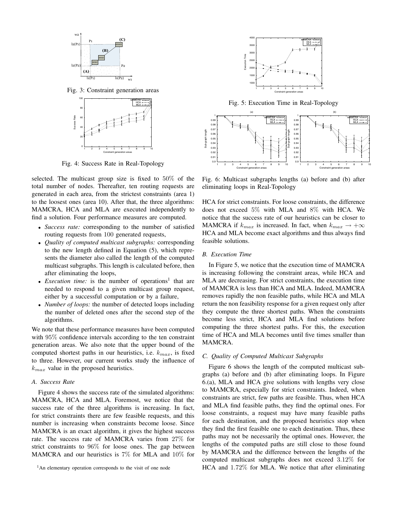

Fig. 3: Constraint generation areas



Fig. 4: Success Rate in Real-Topology

selected. The multicast group size is fixed to 50% of the total number of nodes. Thereafter, ten routing requests are generated in each area, from the strictest constraints (area 1) to the loosest ones (area 10). After that, the three algorithms: MAMCRA, HCA and MLA are executed independently to find a solution. Four performance measures are computed.

- *Success rate:* corresponding to the number of satisfied routing requests from 100 generated requests,
- *Quality of computed multicast subgraphs:* corresponding to the new length defined in Equation (5), which represents the diameter also called the length of the computed multicast subgraphs. This length is calculated before, then after eliminating the loops,
- *Execution time:* is the number of operations<sup>1</sup> that are needed to respond to a given multicast group request, either by a successful computation or by a failure,
- *Number of loops:* the number of detected loops including the number of deleted ones after the second step of the algorithms.

We note that these performance measures have been computed with 95% confidence intervals according to the ten constraint generation areas. We also note that the upper bound of the computed shortest paths in our heuristics, i.e. k*max*, is fixed to three. However, our current works study the influence of k*max* value in the proposed heuristics.

#### *A. Success Rate*

Figure 4 shows the success rate of the simulated algorithms: MAMCRA, HCA and MLA. Foremost, we notice that the success rate of the three algorithms is increasing. In fact, for strict constraints there are few feasible requests, and this number is increasing when constraints become loose. Since MAMCRA is an exact algorithm, it gives the highest success rate. The success rate of MAMCRA varies from 27% for strict constraints to 96% for loose ones. The gap between MAMCRA and our heuristics is 7% for MLA and 10% for



Fig. 5: Execution Time in Real-Topology



Fig. 6: Multicast subgraphs lengths (a) before and (b) after eliminating loops in Real-Topology

HCA for strict constraints. For loose constraints, the difference does not exceed 5% with MLA and 8% with HCA. We notice that the success rate of our heuristics can be closer to MAMCRA if  $k_{max}$  is increased. In fact, when  $k_{max} \rightarrow +\infty$ HCA and MLA become exact algorithms and thus always find feasible solutions.

#### *B. Execution Time*

In Figure 5, we notice that the execution time of MAMCRA is increasing following the constraint areas, while HCA and MLA are decreasing. For strict constraints, the execution time of MAMCRA is less than HCA and MLA. Indeed, MAMCRA removes rapidly the non feasible paths, while HCA and MLA return the non feasibility response for a given request only after they compute the three shortest paths. When the constraints become less strict, HCA and MLA find solutions before computing the three shortest paths. For this, the execution time of HCA and MLA becomes until five times smaller than MAMCRA.

#### *C. Quality of Computed Multicast Subgraphs*

Figure 6 shows the length of the computed multicast subgraphs (a) before and (b) after eliminating loops. In Figure 6.(a), MLA and HCA give solutions with lengths very close to MAMCRA, especially for strict constraints. Indeed, when constraints are strict, few paths are feasible. Thus, when HCA and MLA find feasible paths, they find the optimal ones. For loose constraints, a request may have many feasible paths for each destination, and the proposed heuristics stop when they find the first feasible one to each destination. Thus, these paths may not be necessarily the optimal ones. However, the lengths of the computed paths are still close to those found by MAMCRA and the difference between the lengths of the computed multicast subgraphs does not exceed 3.12% for HCA and 1.72% for MLA. We notice that after eliminating

<sup>&</sup>lt;sup>1</sup>An elementary operation corresponds to the visit of one node